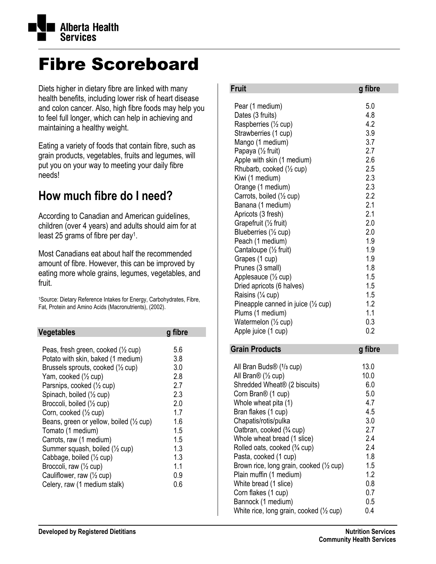

## Fibre Scoreboard

Diets higher in dietary fibre are linked with many health benefits, including lower risk of heart disease and colon cancer. Also, high fibre foods may help you to feel full longer, which can help in achieving and maintaining a healthy weight.

Eating a variety of foods that contain fibre, such as grain products, vegetables, fruits and legumes, will put you on your way to meeting your daily fibre needs!

## **How much fibre do I need?**

According to Canadian and American guidelines, children (over 4 years) and adults should aim for at least 25 grams of fibre per day1.

Most Canadians eat about half the recommended amount of fibre. However, this can be improved by eating more whole grains, legumes, vegetables, and fruit.

1Source: Dietary Reference Intakes for Energy, Carbohydrates, Fibre, Fat, Protein and Amino Acids (Macronutrients), (2002).

| Vegetables                                                                                                                                                                                                                                                                                                                                                                                                                                                                                                                                               | g fibre                                                                                                  |
|----------------------------------------------------------------------------------------------------------------------------------------------------------------------------------------------------------------------------------------------------------------------------------------------------------------------------------------------------------------------------------------------------------------------------------------------------------------------------------------------------------------------------------------------------------|----------------------------------------------------------------------------------------------------------|
| Peas, fresh green, cooked $(\frac{1}{2}$ cup)<br>Potato with skin, baked (1 medium)<br>Brussels sprouts, cooked $(\frac{1}{2}$ cup)<br>Yam, cooked (1/2 cup)<br>Parsnips, cooked (1/2 cup)<br>Spinach, boiled (1/2 cup)<br>Broccoli, boiled (1/2 cup)<br>Corn, cooked (1/2 cup)<br>Beans, green or yellow, boiled $(\frac{1}{2}$ cup)<br>Tomato (1 medium)<br>Carrots, raw (1 medium)<br>Summer squash, boiled (1/2 cup)<br>Cabbage, boiled (1/2 cup)<br>Broccoli, raw (1/2 cup)<br>Cauliflower, raw $(\frac{1}{2}$ cup)<br>Celery, raw (1 medium stalk) | 5.6<br>3.8<br>3.0<br>2.8<br>27<br>23<br>2.0<br>17<br>1.6<br>1.5<br>1.5<br>1.3<br>1.3<br>11<br>0.9<br>0.6 |
|                                                                                                                                                                                                                                                                                                                                                                                                                                                                                                                                                          |                                                                                                          |

| <b>Fruit</b>                                                                                                                                                                                                                                                                                                                                                                                                                                                                                                                                                                                                                                             | g fibre                                                                                                                                                                            |
|----------------------------------------------------------------------------------------------------------------------------------------------------------------------------------------------------------------------------------------------------------------------------------------------------------------------------------------------------------------------------------------------------------------------------------------------------------------------------------------------------------------------------------------------------------------------------------------------------------------------------------------------------------|------------------------------------------------------------------------------------------------------------------------------------------------------------------------------------|
| Pear (1 medium)<br>Dates (3 fruits)<br>Raspberries (1/2 cup)<br>Strawberries (1 cup)<br>Mango (1 medium)<br>Papaya (1/2 fruit)<br>Apple with skin (1 medium)<br>Rhubarb, cooked (1/2 cup)<br>Kiwi (1 medium)<br>Orange (1 medium)<br>Carrots, boiled (1/2 cup)<br>Banana (1 medium)<br>Apricots (3 fresh)<br>Grapefruit (1/2 fruit)<br>Blueberries (1/2 cup)<br>Peach (1 medium)<br>Cantaloupe (1/2 fruit)<br>Grapes (1 cup)<br>Prunes (3 small)<br>Applesauce (1/2 cup)<br>Dried apricots (6 halves)<br>Raisins (1/4 cup)<br>Pineapple canned in juice $(\frac{1}{2}$ cup)<br>Plums (1 medium)<br>Watermelon $(\frac{1}{2}$ cup)<br>Apple juice (1 cup) | 5.0<br>4.8<br>4.2<br>3.9<br>3.7<br>2.7<br>2.6<br>2.5<br>2.3<br>2.3<br>2.2<br>2.1<br>2.1<br>2.0<br>2.0<br>1.9<br>1.9<br>1.9<br>1.8<br>1.5<br>1.5<br>1.5<br>1.2<br>1.1<br>0.3<br>0.2 |
| <b>Grain Products</b>                                                                                                                                                                                                                                                                                                                                                                                                                                                                                                                                                                                                                                    | g fibre                                                                                                                                                                            |
| All Bran Buds $\mathcal{D}(1/3 \text{ cup})$<br>All Bran $\mathcal{O}$ ( $\frac{1}{2}$ cup)<br>Shredded Wheat <sup>®</sup> (2 biscuits)<br>Corn Bran <sup>®</sup> (1 cup)<br>Whole wheat pita (1)<br>Bran flakes (1 cup)<br>Chapatis/rotis/pulka<br>Oatbran, cooked (3/4 cup)<br>Whole wheat bread (1 slice)<br>Rolled oats, cooked (3/4 cup)<br>Pasta, cooked (1 cup)<br>Brown rice, long grain, cooked $(\frac{1}{2}$ cup)<br>Plain muffin (1 medium)<br>White bread (1 slice)<br>Corn flakes (1 cup)                                                                                                                                                  | 13.0<br>10.0<br>6.0<br>5.0<br>4.7<br>4.5<br>3.0<br>2.7<br>2.4<br>2.4<br>1.8<br>1.5<br>1.2<br>0.8<br>0.7                                                                            |

Bannock (1 medium) 0.5 White rice, long grain, cooked ( $\frac{1}{2}$  cup) 0.4